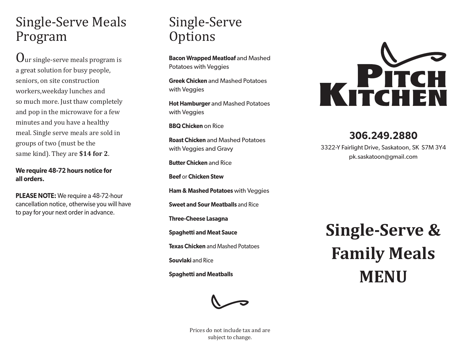### Single-Serve Meals Program

 $\bf{U}$ ur single-serve meals program is a great solution for busy people, seniors, on site construction workers,weekday lunches and so much more. Just thaw completely and pop in the microwave for a few minutes and you have a healthy meal. Single serve meals are sold in groups of two (must be the same kind). They are **\$14 for 2**.

**We require 48-72 hours notice for all orders.**

**PLEASE NOTE:** We require a 48-72-hour cancellation notice, otherwise you will have to pay for your next order in advance.

## Single-Serve **Options**

**Bacon Wrapped Meatloaf** and Mashed Potatoes with Veggies

**Greek Chicken** and Mashed Potatoes with Veggies

**Hot Hamburger** and Mashed Potatoes with Veggies

**BBQ Chicken** on Rice

**Roast Chicken** and Mashed Potatoes with Veggies and Gravy

**Butter Chicken** and Rice

**Beef** or **Chicken Stew**

**Ham & Mashed Potatoes** with Veggies

**Sweet and Sour Meatballs** and Rice

**Three-Cheese Lasagna**

**Spaghetti and Meat Sauce**

**Texas Chicken** and Mashed Potatoes

**Souvlaki** and Rice

**Spaghetti and Meatballs**



Prices do not include tax and are subject to change.



#### **306.249.2880**

3322-Y Fairlight Drive, Saskatoon, SK S7M 3Y4 pk.saskatoon@gmail.com

# **Single-Serve & Family Meals MENU**